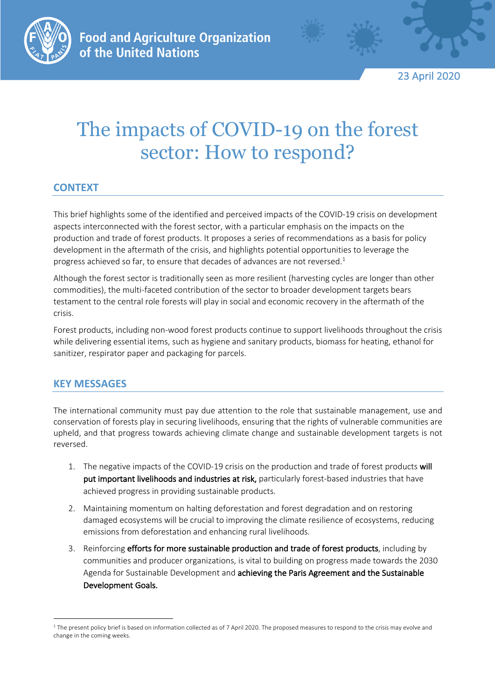

23 April 2020

# The impacts of COVID-19 on the forest sector: How to respond?

# **CONTEXT**

This brief highlights some of the identified and perceived impacts of the COVID-19 crisis on development aspects interconnected with the forest sector, with a particular emphasis on the impacts on the production and trade of forest products. It proposes a series of recommendations as a basis for policy development in the aftermath of the crisis, and highlights potential opportunities to leverage the progress achieved so far, to ensure that decades of advances are not reversed.<sup>1</sup>

Although the forest sector is traditionally seen as more resilient (harvesting cycles are longer than other commodities), the multi-faceted contribution of the sector to broader development targets bears testament to the central role forests will play in social and economic recovery in the aftermath of the crisis.

Forest products, including non-wood forest products continue to support livelihoods throughout the crisis while delivering essential items, such as hygiene and sanitary products, biomass for heating, ethanol for sanitizer, respirator paper and packaging for parcels.

## **KEY MESSAGES**

The international community must pay due attention to the role that sustainable management, use and conservation of forests play in securing livelihoods, ensuring that the rights of vulnerable communities are upheld, and that progress towards achieving climate change and sustainable development targets is not reversed.

- 1. The negative impacts of the COVID-19 crisis on the production and trade of forest products will put important livelihoods and industries at risk, particularly forest-based industries that have achieved progress in providing sustainable products.
- 2. Maintaining momentum on halting deforestation and forest degradation and on restoring damaged ecosystems will be crucial to improving the climate resilience of ecosystems, reducing emissions from deforestation and enhancing rural livelihoods.
- 3. Reinforcing efforts for more sustainable production and trade of forest products, including by communities and producer organizations, is vital to building on progress made towards the 2030 Agenda for Sustainable Development and achieving the Paris Agreement and the Sustainable Development Goals.

<sup>&</sup>lt;sup>1</sup> The present policy brief is based on information collected as of 7 April 2020. The proposed measures to respond to the crisis may evolve and change in the coming weeks.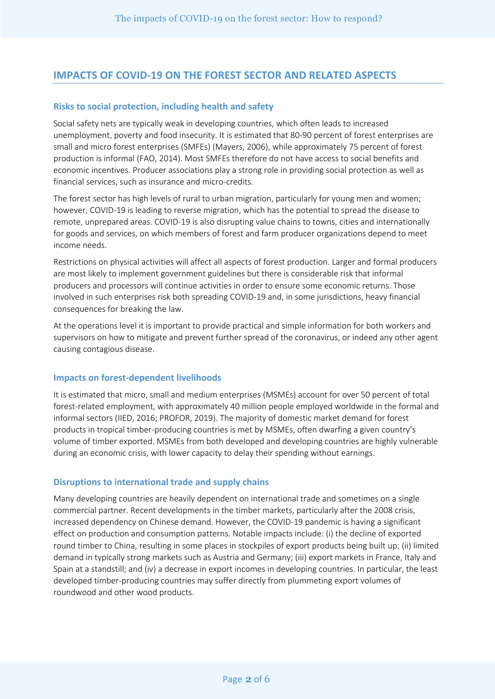## **IMPACTS OF COVID-19 ON THE FOREST SECTOR AND RELATED ASPECTS**

#### **Risks to social protection, including health and safety**

Social safety nets are typically weak in developing countries, which often leads to increased unemployment, poverty and food insecurity. It is estimated that 80-90 percent of forest enterprises are small and micro forest enterprises (SMFEs) (Mayers, 2006), while approximately 75 percent of forest production is informal (FAO, 2014). Most SMFEs therefore do not have access to social benefits and economic incentives. Producer associations play a strong role in providing social protection as well as financial services, such as insurance and micro-credits.

The forest sector has high levels of rural to urban migration, particularly for young men and women; however, COVID-19 is leading to reverse migration, which has the potential to spread the disease to remote, unprepared areas. COVID-19 is also disrupting value chains to towns, cities and internationally for goods and services, on which members of forest and farm producer organizations depend to meet income needs.

Restrictions on physical activities will affect all aspects of forest production. Larger and formal producers are most likely to implement government guidelines but there is considerable risk that informal producers and processors will continue activities in order to ensure some economic returns. Those involved in such enterprises risk both spreading COVID-19 and, in some jurisdictions, heavy financial consequences for breaking the law.

At the operations level it is important to provide practical and simple information for both workers and supervisors on how to mitigate and prevent further spread of the coronavirus, or indeed any other agent causing contagious disease.

#### **Impacts on forest-dependent livelihoods**

It is estimated that micro, small and medium enterprises (MSMEs) account for over 50 percent of total forest-related employment, with approximately 40 million people employed worldwide in the formal and informal sectors (IIED, 2016; PROFOR, 2019). The majority of domestic market demand for forest products in tropical timber-producing countries is met by MSMEs, often dwarfing a given country's volume of timber exported. MSMEs from both developed and developing countries are highly vulnerable during an economic crisis, with lower capacity to delay their spending without earnings.

#### **Disruptions to international trade and supply chains**

Many developing countries are heavily dependent on international trade and sometimes on a single commercial partner. Recent developments in the timber markets, particularly after the 2008 crisis, increased dependency on Chinese demand. However, the COVID-19 pandemic is having a significant effect on production and consumption patterns. Notable impacts include: (i) the decline of exported round timber to China, resulting in some places in stockpiles of export products being built up; (ii) limited demand in typically strong markets such as Austria and Germany; (iii) export markets in France, Italy and Spain at a standstill; and (iv) a decrease in export incomes in developing countries. In particular, the least developed timber-producing countries may suffer directly from plummeting export volumes of roundwood and other wood products.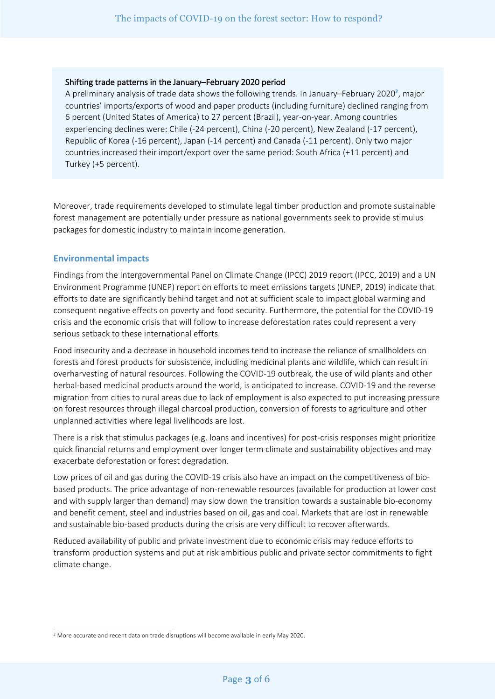#### Shifting trade patterns in the January–February 2020 period

A preliminary analysis of trade data shows the following trends. In January–February 2020**<sup>2</sup>** , major countries' imports/exports of wood and paper products (including furniture) declined ranging from 6 percent (United States of America) to 27 percent (Brazil), year-on-year. Among countries experiencing declines were: Chile (-24 percent), China (-20 percent), New Zealand (-17 percent), Republic of Korea (-16 percent), Japan (-14 percent) and Canada (-11 percent). Only two major countries increased their import/export over the same period: South Africa (+11 percent) and Turkey (+5 percent).

Moreover, trade requirements developed to stimulate legal timber production and promote sustainable forest management are potentially under pressure as national governments seek to provide stimulus packages for domestic industry to maintain income generation.

#### **Environmental impacts**

Findings from the Intergovernmental Panel on Climate Change (IPCC) 2019 report (IPCC, 2019) and a UN Environment Programme (UNEP) report on efforts to meet emissions targets (UNEP, 2019) indicate that efforts to date are significantly behind target and not at sufficient scale to impact global warming and consequent negative effects on poverty and food security. Furthermore, the potential for the COVID-19 crisis and the economic crisis that will follow to increase deforestation rates could represent a very serious setback to these international efforts.

Food insecurity and a decrease in household incomes tend to increase the reliance of smallholders on forests and forest products for subsistence, including medicinal plants and wildlife, which can result in overharvesting of natural resources. Following the COVID-19 outbreak, the use of wild plants and other herbal-based medicinal products around the world, is anticipated to increase. COVID-19 and the reverse migration from cities to rural areas due to lack of employment is also expected to put increasing pressure on forest resources through illegal charcoal production, conversion of forests to agriculture and other unplanned activities where legal livelihoods are lost.

There is a risk that stimulus packages (e.g. loans and incentives) for post-crisis responses might prioritize quick financial returns and employment over longer term climate and sustainability objectives and may exacerbate deforestation or forest degradation.

Low prices of oil and gas during the COVID-19 crisis also have an impact on the competitiveness of biobased products. The price advantage of non-renewable resources (available for production at lower cost and with supply larger than demand) may slow down the transition towards a sustainable bio-economy and benefit cement, steel and industries based on oil, gas and coal. Markets that are lost in renewable and sustainable bio-based products during the crisis are very difficult to recover afterwards.

Reduced availability of public and private investment due to economic crisis may reduce efforts to transform production systems and put at risk ambitious public and private sector commitments to fight climate change.

<sup>2</sup> More accurate and recent data on trade disruptions will become available in early May 2020.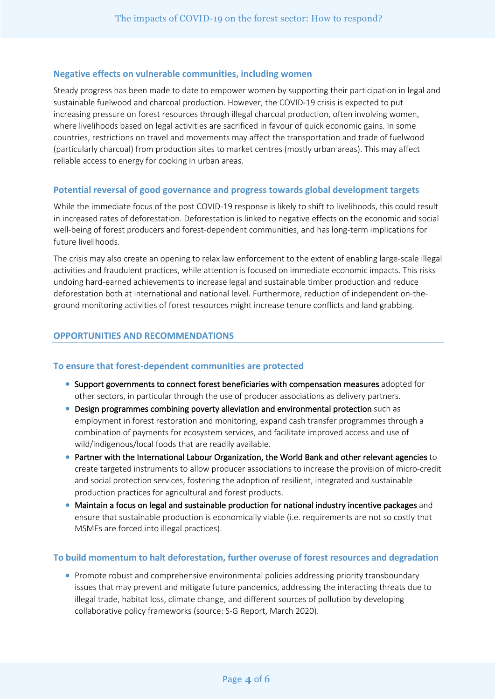#### **Negative effects on vulnerable communities, including women**

Steady progress has been made to date to empower women by supporting their participation in legal and sustainable fuelwood and charcoal production. However, the COVID-19 crisis is expected to put increasing pressure on forest resources through illegal charcoal production, often involving women, where livelihoods based on legal activities are sacrificed in favour of quick economic gains. In some countries, restrictions on travel and movements may affect the transportation and trade of fuelwood (particularly charcoal) from production sites to market centres (mostly urban areas). This may affect reliable access to energy for cooking in urban areas.

#### **Potential reversal of good governance and progress towards global development targets**

While the immediate focus of the post COVID-19 response is likely to shift to livelihoods, this could result in increased rates of deforestation. Deforestation is linked to negative effects on the economic and social well-being of forest producers and forest-dependent communities, and has long-term implications for future livelihoods.

The crisis may also create an opening to relax law enforcement to the extent of enabling large-scale illegal activities and fraudulent practices, while attention is focused on immediate economic impacts. This risks undoing hard-earned achievements to increase legal and sustainable timber production and reduce deforestation both at international and national level. Furthermore, reduction of independent on-theground monitoring activities of forest resources might increase tenure conflicts and land grabbing.

#### **OPPORTUNITIES AND RECOMMENDATIONS**

#### **To ensure that forest-dependent communities are protected**

- Support governments to connect forest beneficiaries with compensation measures adopted for other sectors, in particular through the use of producer associations as delivery partners.
- Design programmes combining poverty alleviation and environmental protection such as employment in forest restoration and monitoring, expand cash transfer programmes through a combination of payments for ecosystem services, and facilitate improved access and use of wild/indigenous/local foods that are readily available.
- Partner with the International Labour Organization, the World Bank and other relevant agencies to create targeted instruments to allow producer associations to increase the provision of micro-credit and social protection services, fostering the adoption of resilient, integrated and sustainable production practices for agricultural and forest products.
- Maintain a focus on legal and sustainable production for national industry incentive packages and ensure that sustainable production is economically viable (i.e. requirements are not so costly that MSMEs are forced into illegal practices).

#### **To build momentum to halt deforestation, further overuse of forest resources and degradation**

• Promote robust and comprehensive environmental policies addressing priority transboundary issues that may prevent and mitigate future pandemics, addressing the interacting threats due to illegal trade, habitat loss, climate change, and different sources of pollution by developing collaborative policy frameworks (source: S-G Report, March 2020).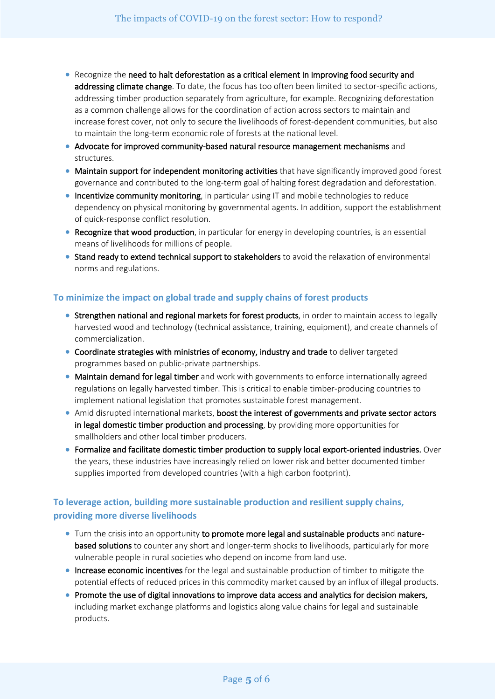- Recognize the need to halt deforestation as a critical element in improving food security and addressing climate change. To date, the focus has too often been limited to sector-specific actions, addressing timber production separately from agriculture, for example. Recognizing deforestation as a common challenge allows for the coordination of action across sectors to maintain and increase forest cover, not only to secure the livelihoods of forest-dependent communities, but also to maintain the long-term economic role of forests at the national level.
- Advocate for improved community-based natural resource management mechanisms and structures.
- Maintain support for independent monitoring activities that have significantly improved good forest governance and contributed to the long-term goal of halting forest degradation and deforestation.
- Incentivize community monitoring, in particular using IT and mobile technologies to reduce dependency on physical monitoring by governmental agents. In addition, support the establishment of quick-response conflict resolution.
- Recognize that wood production, in particular for energy in developing countries, is an essential means of livelihoods for millions of people.
- Stand ready to extend technical support to stakeholders to avoid the relaxation of environmental norms and regulations.

### **To minimize the impact on global trade and supply chains of forest products**

- Strengthen national and regional markets for forest products, in order to maintain access to legally harvested wood and technology (technical assistance, training, equipment), and create channels of commercialization.
- Coordinate strategies with ministries of economy, industry and trade to deliver targeted programmes based on public-private partnerships.
- Maintain demand for legal timber and work with governments to enforce internationally agreed regulations on legally harvested timber. This is critical to enable timber-producing countries to implement national legislation that promotes sustainable forest management.
- Amid disrupted international markets, boost the interest of governments and private sector actors in legal domestic timber production and processing, by providing more opportunities for smallholders and other local timber producers.
- Formalize and facilitate domestic timber production to supply local export-oriented industries. Over the years, these industries have increasingly relied on lower risk and better documented timber supplies imported from developed countries (with a high carbon footprint).

## **To leverage action, building more sustainable production and resilient supply chains, providing more diverse livelihoods**

- Turn the crisis into an opportunity to promote more legal and sustainable products and naturebased solutions to counter any short and longer-term shocks to livelihoods, particularly for more vulnerable people in rural societies who depend on income from land use.
- Increase economic incentives for the legal and sustainable production of timber to mitigate the potential effects of reduced prices in this commodity market caused by an influx of illegal products.
- Promote the use of digital innovations to improve data access and analytics for decision makers, including market exchange platforms and logistics along value chains for legal and sustainable products.